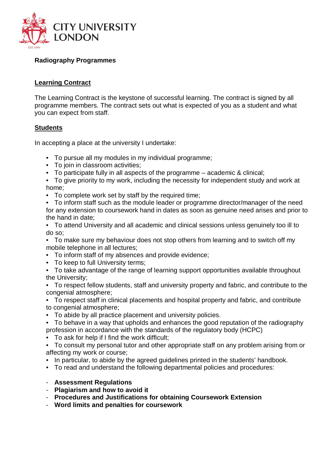

## **Radiography Programmes**

### **Learning Contract**

The Learning Contract is the keystone of successful learning. The contract is signed by all programme members. The contract sets out what is expected of you as a student and what you can expect from staff.

### **Students**

In accepting a place at the university I undertake:

- To pursue all my modules in my individual programme;
- To join in classroom activities;
- To participate fully in all aspects of the programme academic & clinical;
- To give priority to my work, including the necessity for independent study and work at home;
- To complete work set by staff by the required time;
- To inform staff such as the module leader or programme director/manager of the need for any extension to coursework hand in dates as soon as genuine need arises and prior to the hand in date;
- To attend University and all academic and clinical sessions unless genuinely too ill to do so;
- To make sure my behaviour does not stop others from learning and to switch off my mobile telephone in all lectures;
- To inform staff of my absences and provide evidence;
- To keep to full University terms;
- To take advantage of the range of learning support opportunities available throughout the University;
- To respect fellow students, staff and university property and fabric, and contribute to the congenial atmosphere;
- To respect staff in clinical placements and hospital property and fabric, and contribute to congenial atmosphere;
- To abide by all practice placement and university policies.
- To behave in a way that upholds and enhances the good reputation of the radiography profession in accordance with the standards of the regulatory body (HCPC)
- To ask for help if I find the work difficult;
- To consult my personal tutor and other appropriate staff on any problem arising from or affecting my work or course;
- In particular, to abide by the agreed quidelines printed in the students' handbook.
- To read and understand the following departmental policies and procedures:

#### - **Assessment Regulations**

- **Plagiarism and how to avoid it**
- **Procedures and Justifications for obtaining Coursework Extension**
- **Word limits and penalties for coursework**